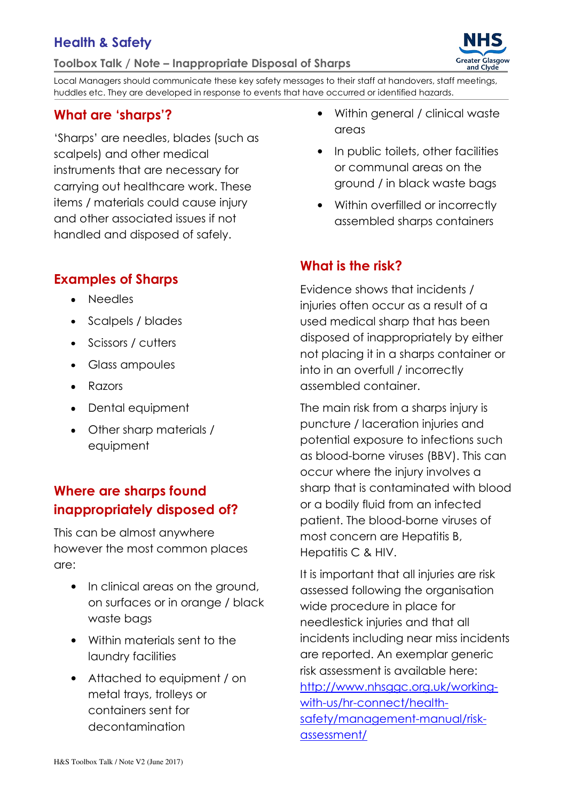## Health & Safety

Toolbox Talk / Note – Inappropriate Disposal of Sharps

**Greater Glasgow** ater Glasg<br>and Clyde

Local Managers should communicate these key safety messages to their staff at handovers, staff meetings, huddles etc. They are developed in response to events that have occurred or identified hazards.

# What are 'sharps'?

'Sharps' are needles, blades (such as scalpels) and other medical instruments that are necessary for carrying out healthcare work. These items / materials could cause injury and other associated issues if not handled and disposed of safely.

#### Examples of Sharps

- Needles
- Scalpels / blades
- Scissors / cutters
- Glass ampoules
- Razors
- Dental equipment
- Other sharp materials / equipment

#### Where are sharps found inappropriately disposed of?

This can be almost anywhere however the most common places are:

- In clinical areas on the ground, on surfaces or in orange / black waste bags
- Within materials sent to the laundry facilities
- Attached to equipment / on metal trays, trolleys or containers sent for decontamination
- Within general / clinical waste areas
- In public toilets, other facilities or communal areas on the ground / in black waste bags
- Within overfilled or incorrectly assembled sharps containers

#### What is the risk?

Evidence shows that incidents / injuries often occur as a result of a used medical sharp that has been disposed of inappropriately by either not placing it in a sharps container or into in an overfull / incorrectly assembled container.

The main risk from a sharps injury is puncture / laceration injuries and potential exposure to infections such as blood-borne viruses (BBV). This can occur where the injury involves a sharp that is contaminated with blood or a bodily fluid from an infected patient. The blood-borne viruses of most concern are Hepatitis B, Hepatitis C & HIV.

It is important that all injuries are risk assessed following the organisation wide procedure in place for needlestick injuries and that all incidents including near miss incidents are reported. An exemplar generic risk assessment is available here: http://www.nhsggc.org.uk/workingwith-us/hr-connect/health-

safety/management-manual/riskassessment/